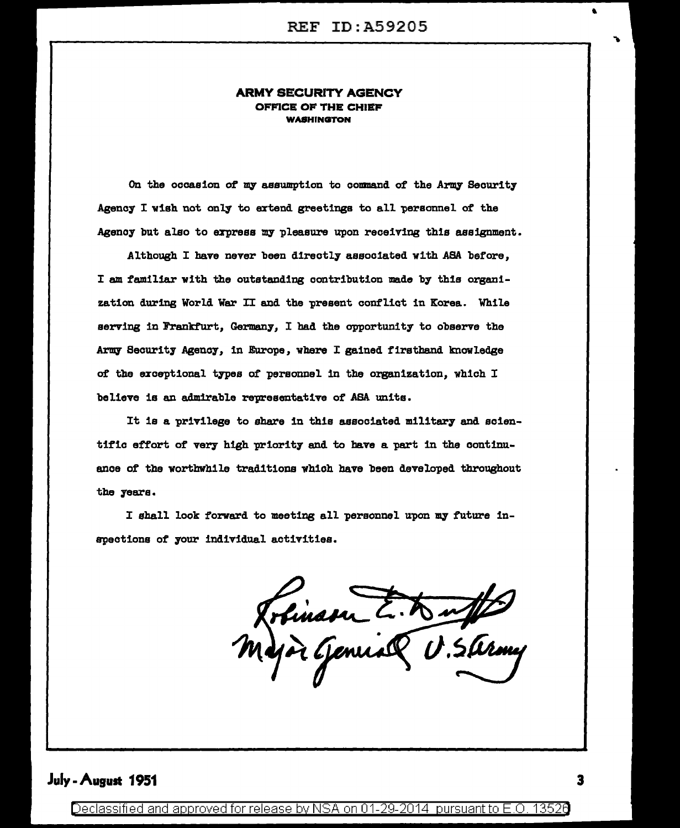#### ARMY SECURITY AGENCY OFFICE OF THE CHIEF WASHINGTON

On the occasion of my assumption to command of the Army Security Agency I wish not only to extend greetings to all personnel of the Agency but also to express my pleasure upon receiving this assignment.

Althoush I have never been directly associated with ASA before, I am familiar with the outstanding contribution made by this organization during World War II and the present conflict in Korea. While serving in Frankfurt, Germany, I had the opportunity to observe the Army Security Agency, in Europe, where I gained firsthand knowledge *at* the ezceptional types *at* personnel in the organization, which I believe is an admirable representative of ASA units.

It is a privilege to share in this associated military and scientific effort of very high priority and to bave a part in the continuance of the worthwhile traditions which have been developed throushout the years.

I shall look forward to meeting all personnel upon my future inspections of your individual activities.

Trémasu E. Buffet

## July -August 1951

Declassified and approved for release by NSA on 01-29-2014 pursuant to E.O. 13526

..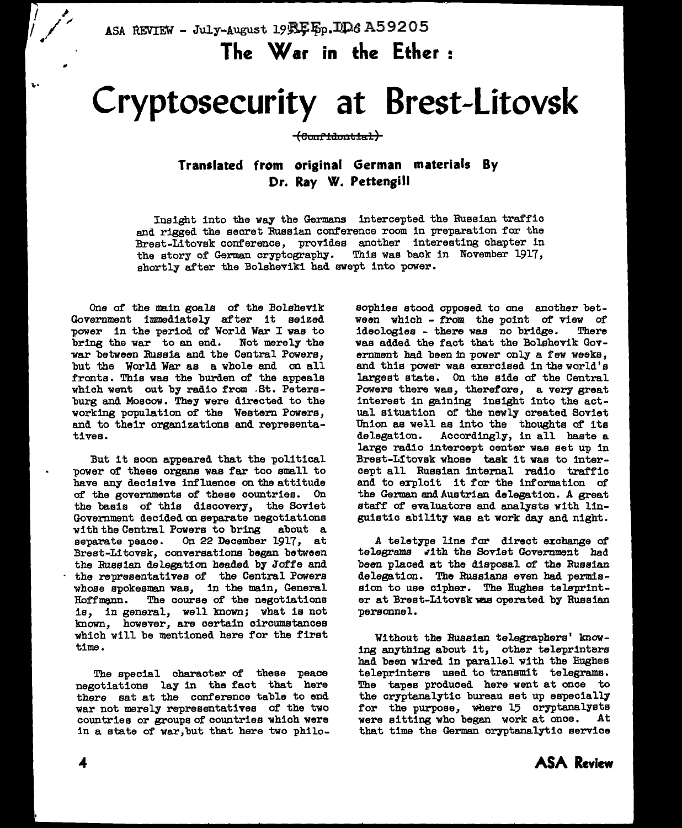ASA REVIEW - July-August 19 REEp. LD6 A59205

**The War in the Ether** :

# **Cryptosecurity at Brest-Litovsk**

**(eautld:o11tlal)** 

**Translated from original German materials By Dr. Ray W. Pettensill** 

Insight into the way the Germans intercepted the Russian traffic and rigged the secret Russian conference room in preparation for the Brest-Litovek conference, provides another interesting chapter in the story of German cryptography. This wae back in November 1917, shortly after the Boleheviki had swept into power.

One of the main goals of the Bolshevik Government immediately after it seized power in the period of World War I was to bring the war to an end. Not merely the war between Russia and the Central Powers, but the World War as a whole and on all fronts. Thie wae the burden of the appeals which went out by radio from .St. Petersburg and Moscow. They were directed to the working population of the Western Powers, and to their organizations and representatives.

But it soon appeared that the political power of these organs was far too small to have any decisive influence on the attitude of the governments of these countries. On the basis of this discovery, the Soviet Government decided on separate negotiations with the Central Powers to bring about a separate peace. On 22 December 1917, at Brest-Litovsk, conversations began between the Russian delegation headed by Joffe and the representatives of the Central Powers whose spokesman was, in the main, General Hoffmenn. The course of the negotiations is, in general, well known; what is not known, however, are certain circumstances which will be mentioned here for the first time.

The special character of these peace negotiations lay in the fact that here there sat at the conference table to end war not merely representatives of the two countries or groups of countries which were in a state of war, but that here two philo-

sophies stood apposed to one another between which - from the point of view of<br>ideologies - there was no bridge. There ideologies - there was no bridge. was added the fact that the Bolshevik Government had been in power only a few weeks, and this power was exercised in the world's largest state. On the side of the Central Powers there was, therefore, a very great interest in gaining insight into the actual situation of the newly created Soviet Union as well as into the thoughts of its delegation. Accordingly, in all haste a Accordingly, in all baste a large radio intercept center was set up in Brest-Lftovsk whose task it wae to intercept all Russian internal radio traffic and to exploit it for the information of the German and.Austrian delegation. A great staff of evaluators and analysts with linguistic ability was at work day and night.

A teletype line for direct exchange of telegrams with the Soviet Government had been placed at the disposal of the Russian delegation. The Russians even had permission to use cipher. The Hughes teleprinter at Brest-Litovsk was operated by Russian personnel.

Without the Russian telegraphers' knowing anything about it, other teleprinters had been wired in parallel with the Hughes teleprinters used to transmit telegrams. The tapes produced here went at once to the cryptanalytic bureau set up especially for the purpose, where 15 cryptanalysts<br>were sitting who began work at once. At were sitting who began work at once. that time the German cryptanalytic service

•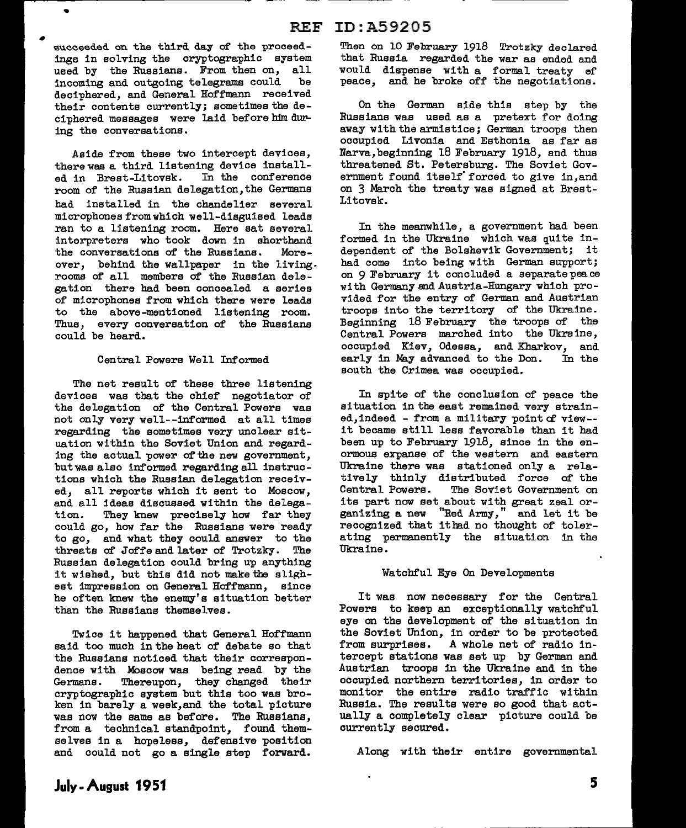succeeded on the third day of the proceedings in solving the cryptographic system used by the Russians. From then on, all<br>incoming and outgoing telegrams could be incoming and outgoing telegrams could deciphered, and General Hoffmann received their contents currently; sometimes the deciphered messages were laid before him during the conversations.

•

Aside from these two intercept devices, there was a third listening device install-<br>ed in Brest-Litovsk. In the conference ed in Brest-Litovsk. room of the Russian delegation,the Germans had installed in the chandelier several microphones from which well-disguised leads ran to a listening room. Here sat several interpreters who took down in shorthand the conversations of the Russians. Moreover, behind the wallpaper in the living. rooms of all members of the Russian delegation there bad been concealed a series of microphones from which there were leads to the above-mentioned listening room. Thus, every conversation of the Russians could be heard.

#### Central Powers Well Informed

The net result of these three listening devices was that the chief negotiator of the delegation of the Central Powers was not only very well--informed at all times regarding the sometimes very unclear situation within the Soviet Union and regarding the actual power of the new government, but was also informed regarding all instructions which the Russian delegation received, all reports which it sent to Moscow, and all ideas discussed within the delega-<br>tion. They knew precisely how far they They knew precisely how far they could go, how far the Russians were ready to go, and what they could answer to the threats of Joffe and later of Trotzky. The Russian delegation could bring up anything it wished, but this did not make the slighest impression on General Hoffmann, since he often knew the enemy's situation better than the Russians themselves.

Twice it happened that General Hoffmann said too much in the heat of debate so that the Russians noticed that their correspondence with Moscow was being read by the Germans. Thereupon, they changed their cryptographic system but this too was broken in barely a week,and the total picture was now the same as before. The Russians, from a technical standpoint. found themselves in a hopeless, defensive position and could not go a single step forward.

#### Then on 10 February 1918 Trotzky declared that Russia regarded the war as ended and would dispense with a formal treaty ef peace, and he broke off the negotiations.

On the German side this step by the Russians was used as a pretext for doing away with the armistice; German troops then occupied Livonia and Esthonia as far as Narva,beginning 18 February 1918, and thus threatened St. Petersburg. The Soviet Government found itself' forced to give in,and on 3 March the treaty was signed at Brest-Litovsk.

In the meanwhile, a government had been formed in the Ukraine which was quite independent of the Bolshevik Government; it had come into being with German support; on 9 February it concluded a separate peace with Germany and Austria-Hungary which provided for the entry of German and Austrian troops into the territory of the Ukraine. Beginning 18 February the troops of the Central Powers marched into the Ukraine, occupied Kiev, Odessa, and Kharkov, and early in May advanced to the Don. In the south the Crimea was occupied.

In spite of the conclusion of peace the ai tuation in the east remained very atrained,indeed - from a military point of view- it became still less favorable than it had been up to February 1918, since in the enormous expanse of the western and eastern Ukraine there was stationed only a relatively thinly distributed force of the<br>Central Powers. The Soviet Government on The Soviet Government on its part now set about with great zeal organizing a new "Red Army," and let it be recognized that ithad no thought of tolerating permanently the situation in the Ukraine.

#### Watchful Eye On Developments

It was now necessary for the Central Powers to keep an exceptionally watchful eye on the development of the situation in the Soviet Union, in order to be protected from surprises. A whole net of radio intercept stations was set up by German and Austrian troops in the Ukraine and in the occupied northern territories, in order to monitor the entire radio traffic within Russia. The results were so good that actually a completely clear picture could be currently secured.

Along with their entire governmental